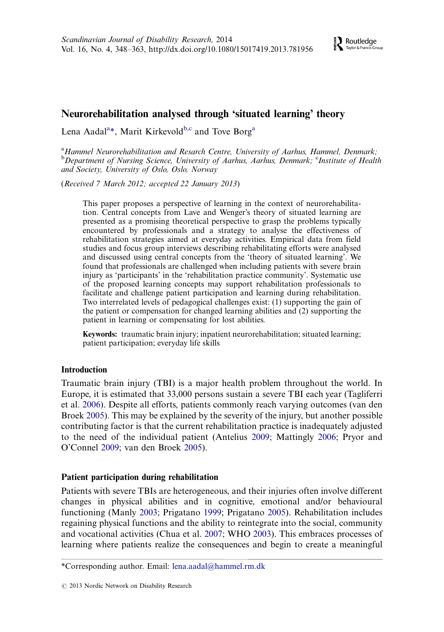# Neurorehabilitation analysed through 'situated learning' theory

Lena Aadal<sup>a\*</sup>, Marit Kirkevold<sup>b,c</sup> and Tove Borg<sup>a</sup>

<sup>a</sup> Hammel Neurorehabilitation and Resarch Centre, University of Aarhus, Hammel, Denmark; <sup>b</sup>Department of Nursing Science, University of Aarhus, Aarhus, Denmark; <sup>c</sup>Institute of Health and Society, University of Oslo, Oslo, Norway

(Received 7 March 2012; accepted 22 January 2013)

This paper proposes a perspective of learning in the context of neurorehabilitation. Central concepts from Lave and Wenger's theory of situated learning are presented as a promising theoretical perspective to grasp the problems typically encountered by professionals and a strategy to analyse the effectiveness of rehabilitation strategies aimed at everyday activities. Empirical data from field studies and focus group interviews describing rehabilitating efforts were analysed and discussed using central concepts from the 'theory of situated learning'. We found that professionals are challenged when including patients with severe brain injury as 'participants' in the 'rehabilitation practice community'. Systematic use of the proposed learning concepts may support rehabilitation professionals to facilitate and challenge patient participation and learning during rehabilitation. Two interrelated levels of pedagogical challenges exist: (1) supporting the gain of the patient or compensation for changed learning abilities and (2) supporting the patient in learning or compensating for lost abilities.

Keywords: traumatic brain injury; inpatient neurorehabilitation; situated learning; patient participation; everyday life skills

#### **Introduction**

Traumatic brain injury (TBI) is a major health problem throughout the world. In Europe, it is estimated that 33,000 persons sustain a severe TBI each year (Tagliferri et al. [2006\)](#page-15-0). Despite all efforts, patients commonly reach varying outcomes (van den Broek [2005\)](#page-15-0). This may be explained by the severity of the injury, but another possible contributing factor is that the current rehabilitation practice is inadequately adjusted to the need of the individual patient (Antelius [2009;](#page-13-0) Mattingly [2006](#page-14-0); Pryor and O'Connel [2009](#page-15-0); van den Broek [2005\)](#page-15-0).

### Patient participation during rehabilitation

Patients with severe TBIs are heterogeneous, and their injuries often involve different changes in physical abilities and in cognitive, emotional and/or behavioural functioning (Manly [2003;](#page-14-0) Prigatano [1999](#page-15-0); Prigatano [2005](#page-15-0)). Rehabilitation includes regaining physical functions and the ability to reintegrate into the social, community and vocational activities (Chua et al. [2007](#page-13-0); WHO [2003](#page-15-0)). This embraces processes of learning where patients realize the consequences and begin to create a meaningful

<sup>\*</sup>Corresponding author. Email: [lena.aadal@hammel.rm.dk](mailto:lena.aadal@hammel.rm.dk)

 $\odot$  2013 Nordic Network on Disability Research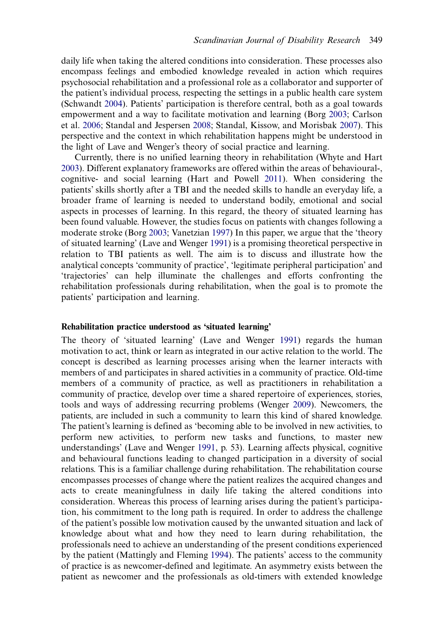daily life when taking the altered conditions into consideration. These processes also encompass feelings and embodied knowledge revealed in action which requires psychosocial rehabilitation and a professional role as a collaborator and supporter of the patient's individual process, respecting the settings in a public health care system (Schwandt [2004](#page-15-0)). Patients' participation is therefore central, both as a goal towards empowerment and a way to facilitate motivation and learning (Borg [2003;](#page-13-0) Carlson et al. [2006;](#page-13-0) Standal and Jespersen [2008](#page-15-0); Standal, Kissow, and Morisbak [2007\)](#page-15-0). This perspective and the context in which rehabilitation happens might be understood in the light of Lave and Wenger's theory of social practice and learning.

Currently, there is no unified learning theory in rehabilitation (Whyte and Hart [2003\)](#page-15-0). Different explanatory frameworks are offered within the areas of behavioural-, cognitive- and social learning (Hart and Powell [2011\)](#page-14-0). When considering the patients' skills shortly after a TBI and the needed skills to handle an everyday life, a broader frame of learning is needed to understand bodily, emotional and social aspects in processes of learning. In this regard, the theory of situated learning has been found valuable. However, the studies focus on patients with changes following a moderate stroke (Borg [2003](#page-13-0); Vanetzian [1997](#page-15-0)) In this paper, we argue that the 'theory of situated learning' (Lave and Wenger [1991](#page-14-0)) is a promising theoretical perspective in relation to TBI patients as well. The aim is to discuss and illustrate how the analytical concepts 'community of practice', 'legitimate peripheral participation' and 'trajectories' can help illuminate the challenges and efforts confronting the rehabilitation professionals during rehabilitation, when the goal is to promote the patients' participation and learning.

#### Rehabilitation practice understood as 'situated learning'

The theory of 'situated learning' (Lave and Wenger [1991\)](#page-14-0) regards the human motivation to act, think or learn as integrated in our active relation to the world. The concept is described as learning processes arising when the learner interacts with members of and participates in shared activities in a community of practice. Old-time members of a community of practice, as well as practitioners in rehabilitation a community of practice, develop over time a shared repertoire of experiences, stories, tools and ways of addressing recurring problems (Wenger [2009\)](#page-15-0). Newcomers, the patients, are included in such a community to learn this kind of shared knowledge. The patient's learning is defined as 'becoming able to be involved in new activities, to perform new activities, to perform new tasks and functions, to master new understandings' (Lave and Wenger [1991,](#page-14-0) p. 53). Learning affects physical, cognitive and behavioural functions leading to changed participation in a diversity of social relations. This is a familiar challenge during rehabilitation. The rehabilitation course encompasses processes of change where the patient realizes the acquired changes and acts to create meaningfulness in daily life taking the altered conditions into consideration. Whereas this process of learning arises during the patient's participation, his commitment to the long path is required. In order to address the challenge of the patient's possible low motivation caused by the unwanted situation and lack of knowledge about what and how they need to learn during rehabilitation, the professionals need to achieve an understanding of the present conditions experienced by the patient (Mattingly and Fleming [1994](#page-15-0)). The patients' access to the community of practice is as newcomer-defined and legitimate. An asymmetry exists between the patient as newcomer and the professionals as old-timers with extended knowledge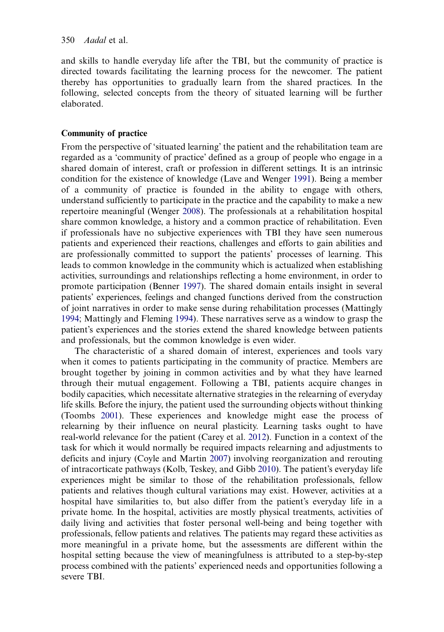and skills to handle everyday life after the TBI, but the community of practice is directed towards facilitating the learning process for the newcomer. The patient thereby has opportunities to gradually learn from the shared practices. In the following, selected concepts from the theory of situated learning will be further elaborated.

### Community of practice

From the perspective of 'situated learning' the patient and the rehabilitation team are regarded as a 'community of practice' defined as a group of people who engage in a shared domain of interest, craft or profession in different settings. It is an intrinsic condition for the existence of knowledge (Lave and Wenger [1991\)](#page-14-0). Being a member of a community of practice is founded in the ability to engage with others, understand sufficiently to participate in the practice and the capability to make a new repertoire meaningful (Wenger [2008\)](#page-15-0). The professionals at a rehabilitation hospital share common knowledge, a history and a common practice of rehabilitation. Even if professionals have no subjective experiences with TBI they have seen numerous patients and experienced their reactions, challenges and efforts to gain abilities and are professionally committed to support the patients' processes of learning. This leads to common knowledge in the community which is actualized when establishing activities, surroundings and relationships reflecting a home environment, in order to promote participation (Benner [1997](#page-13-0)). The shared domain entails insight in several patients' experiences, feelings and changed functions derived from the construction of joint narratives in order to make sense during rehabilitation processes (Mattingly [1994;](#page-14-0) Mattingly and Fleming [1994\)](#page-15-0). These narratives serve as a window to grasp the patient's experiences and the stories extend the shared knowledge between patients and professionals, but the common knowledge is even wider.

The characteristic of a shared domain of interest, experiences and tools vary when it comes to patients participating in the community of practice. Members are brought together by joining in common activities and by what they have learned through their mutual engagement. Following a TBI, patients acquire changes in bodily capacities, which necessitate alternative strategies in the relearning of everyday life skills. Before the injury, the patient used the surrounding objects without thinking (Toombs [2001\)](#page-15-0). These experiences and knowledge might ease the process of relearning by their influence on neural plasticity. Learning tasks ought to have real-world relevance for the patient (Carey et al. [2012\)](#page-13-0). Function in a context of the task for which it would normally be required impacts relearning and adjustments to deficits and injury (Coyle and Martin [2007\)](#page-13-0) involving reorganization and rerouting of intracorticate pathways (Kolb, Teskey, and Gibb [2010\)](#page-14-0). The patient's everyday life experiences might be similar to those of the rehabilitation professionals, fellow patients and relatives though cultural variations may exist. However, activities at a hospital have similarities to, but also differ from the patient's everyday life in a private home. In the hospital, activities are mostly physical treatments, activities of daily living and activities that foster personal well-being and being together with professionals, fellow patients and relatives. The patients may regard these activities as more meaningful in a private home, but the assessments are different within the hospital setting because the view of meaningfulness is attributed to a step-by-step process combined with the patients' experienced needs and opportunities following a severe TBI.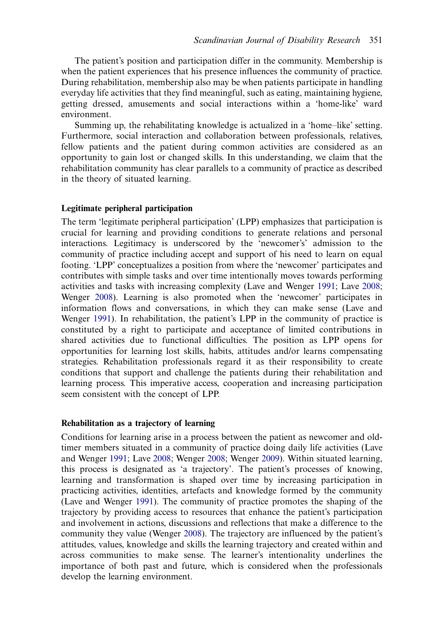The patient's position and participation differ in the community. Membership is when the patient experiences that his presence influences the community of practice. During rehabilitation, membership also may be when patients participate in handling everyday life activities that they find meaningful, such as eating, maintaining hygiene, getting dressed, amusements and social interactions within a 'home-like' ward environment.

Summing up, the rehabilitating knowledge is actualized in a 'home-like' setting. Furthermore, social interaction and collaboration between professionals, relatives, fellow patients and the patient during common activities are considered as an opportunity to gain lost or changed skills. In this understanding, we claim that the rehabilitation community has clear parallels to a community of practice as described in the theory of situated learning.

### Legitimate peripheral participation

The term 'legitimate peripheral participation' (LPP) emphasizes that participation is crucial for learning and providing conditions to generate relations and personal interactions. Legitimacy is underscored by the 'newcomer's' admission to the community of practice including accept and support of his need to learn on equal footing. 'LPP' conceptualizes a position from where the 'newcomer' participates and contributes with simple tasks and over time intentionally moves towards performing activities and tasks with increasing complexity (Lave and Wenger [1991;](#page-14-0) Lave [2008](#page-14-0); Wenger [2008](#page-15-0)). Learning is also promoted when the 'newcomer' participates in information flows and conversations, in which they can make sense (Lave and Wenger [1991\)](#page-14-0). In rehabilitation, the patient's LPP in the community of practice is constituted by a right to participate and acceptance of limited contributions in shared activities due to functional difficulties. The position as LPP opens for opportunities for learning lost skills, habits, attitudes and/or learns compensating strategies. Rehabilitation professionals regard it as their responsibility to create conditions that support and challenge the patients during their rehabilitation and learning process. This imperative access, cooperation and increasing participation seem consistent with the concept of LPP.

### Rehabilitation as a trajectory of learning

Conditions for learning arise in a process between the patient as newcomer and oldtimer members situated in a community of practice doing daily life activities (Lave and Wenger [1991;](#page-14-0) Lave [2008](#page-14-0); Wenger [2008](#page-15-0); Wenger [2009\)](#page-15-0). Within situated learning, this process is designated as 'a trajectory'. The patient's processes of knowing, learning and transformation is shaped over time by increasing participation in practicing activities, identities, artefacts and knowledge formed by the community (Lave and Wenger [1991\)](#page-14-0). The community of practice promotes the shaping of the trajectory by providing access to resources that enhance the patient's participation and involvement in actions, discussions and reflections that make a difference to the community they value (Wenger [2008](#page-15-0)). The trajectory are influenced by the patient's attitudes, values, knowledge and skills the learning trajectory and created within and across communities to make sense. The learner's intentionality underlines the importance of both past and future, which is considered when the professionals develop the learning environment.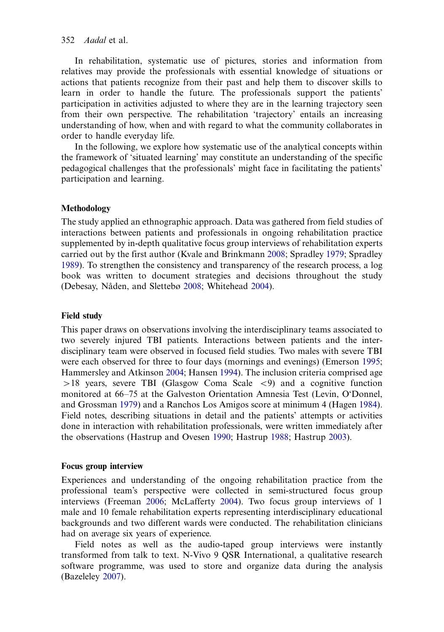In rehabilitation, systematic use of pictures, stories and information from relatives may provide the professionals with essential knowledge of situations or actions that patients recognize from their past and help them to discover skills to learn in order to handle the future. The professionals support the patients' participation in activities adjusted to where they are in the learning trajectory seen from their own perspective. The rehabilitation 'trajectory' entails an increasing understanding of how, when and with regard to what the community collaborates in order to handle everyday life.

In the following, we explore how systematic use of the analytical concepts within the framework of 'situated learning' may constitute an understanding of the specific pedagogical challenges that the professionals' might face in facilitating the patients' participation and learning.

### Methodology

The study applied an ethnographic approach. Data was gathered from field studies of interactions between patients and professionals in ongoing rehabilitation practice supplemented by in-depth qualitative focus group interviews of rehabilitation experts carried out by the first author (Kvale and Brinkmann [2008](#page-14-0); Spradley [1979](#page-15-0); Spradley [1989\)](#page-15-0). To strengthen the consistency and transparency of the research process, a log book was written to document strategies and decisions throughout the study (Debesay, Nåden, and Slettebø [2008;](#page-14-0) Whitehead [2004](#page-15-0)).

### Field study

This paper draws on observations involving the interdisciplinary teams associated to two severely injured TBI patients. Interactions between patients and the interdisciplinary team were observed in focused field studies. Two males with severe TBI were each observed for three to four days (mornings and evenings) (Emerson [1995](#page-14-0); Hammersley and Atkinson [2004](#page-14-0); Hansen [1994](#page-14-0)). The inclusion criteria comprised age  $>$ 18 years, severe TBI (Glasgow Coma Scale  $<$ 9) and a cognitive function monitored at 66-75 at the Galveston Orientation Amnesia Test (Levin, O'Donnel, and Grossman [1979\)](#page-14-0) and a Ranchos Los Amigos score at minimum 4 (Hagen [1984](#page-14-0)). Field notes, describing situations in detail and the patients' attempts or activities done in interaction with rehabilitation professionals, were written immediately after the observations (Hastrup and Ovesen [1990](#page-14-0); Hastrup [1988;](#page-14-0) Hastrup [2003](#page-14-0)).

### Focus group interview

Experiences and understanding of the ongoing rehabilitation practice from the professional team's perspective were collected in semi-structured focus group interviews (Freeman [2006](#page-14-0); McLafferty [2004\)](#page-15-0). Two focus group interviews of 1 male and 10 female rehabilitation experts representing interdisciplinary educational backgrounds and two different wards were conducted. The rehabilitation clinicians had on average six years of experience.

Field notes as well as the audio-taped group interviews were instantly transformed from talk to text. N-Vivo 9 QSR International, a qualitative research software programme, was used to store and organize data during the analysis (Bazeleley [2007](#page-13-0)).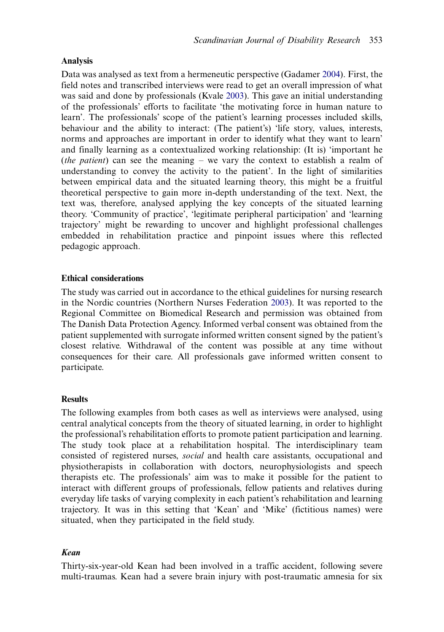### Analysis

Data was analysed as text from a hermeneutic perspective (Gadamer [2004](#page-14-0)). First, the field notes and transcribed interviews were read to get an overall impression of what was said and done by professionals (Kvale [2003](#page-14-0)). This gave an initial understanding of the professionals' efforts to facilitate 'the motivating force in human nature to learn'. The professionals' scope of the patient's learning processes included skills, behaviour and the ability to interact: (The patient's) 'life story, values, interests, norms and approaches are important in order to identify what they want to learn' and finally learning as a contextualized working relationship: (It is) 'important he (*the patient*) can see the meaning  $-$  we vary the context to establish a realm of understanding to convey the activity to the patient'. In the light of similarities between empirical data and the situated learning theory, this might be a fruitful theoretical perspective to gain more in-depth understanding of the text. Next, the text was, therefore, analysed applying the key concepts of the situated learning theory. 'Community of practice', 'legitimate peripheral participation' and 'learning trajectory' might be rewarding to uncover and highlight professional challenges embedded in rehabilitation practice and pinpoint issues where this reflected pedagogic approach.

### Ethical considerations

The study was carried out in accordance to the ethical guidelines for nursing research in the Nordic countries (Northern Nurses Federation [2003](#page-15-0)). It was reported to the Regional Committee on Biomedical Research and permission was obtained from The Danish Data Protection Agency. Informed verbal consent was obtained from the patient supplemented with surrogate informed written consent signed by the patient's closest relative. Withdrawal of the content was possible at any time without consequences for their care. All professionals gave informed written consent to participate.

### **Results**

The following examples from both cases as well as interviews were analysed, using central analytical concepts from the theory of situated learning, in order to highlight the professional's rehabilitation efforts to promote patient participation and learning. The study took place at a rehabilitation hospital. The interdisciplinary team consisted of registered nurses, social and health care assistants, occupational and physiotherapists in collaboration with doctors, neurophysiologists and speech therapists etc. The professionals' aim was to make it possible for the patient to interact with different groups of professionals, fellow patients and relatives during everyday life tasks of varying complexity in each patient's rehabilitation and learning trajectory. It was in this setting that 'Kean' and 'Mike' (fictitious names) were situated, when they participated in the field study.

## Kean

Thirty-six-year-old Kean had been involved in a traffic accident, following severe multi-traumas. Kean had a severe brain injury with post-traumatic amnesia for six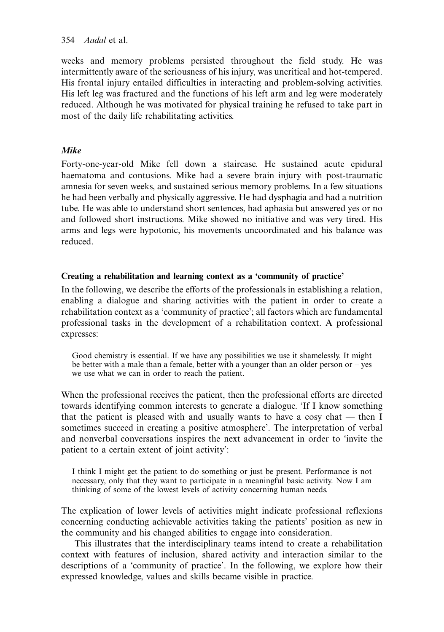## 354 Aadal et al.

weeks and memory problems persisted throughout the field study. He was intermittently aware of the seriousness of his injury, was uncritical and hot-tempered. His frontal injury entailed difficulties in interacting and problem-solving activities. His left leg was fractured and the functions of his left arm and leg were moderately reduced. Although he was motivated for physical training he refused to take part in most of the daily life rehabilitating activities.

## Mike

Forty-one-year-old Mike fell down a staircase. He sustained acute epidural haematoma and contusions. Mike had a severe brain injury with post-traumatic amnesia for seven weeks, and sustained serious memory problems. In a few situations he had been verbally and physically aggressive. He had dysphagia and had a nutrition tube. He was able to understand short sentences, had aphasia but answered yes or no and followed short instructions. Mike showed no initiative and was very tired. His arms and legs were hypotonic, his movements uncoordinated and his balance was reduced.

### Creating a rehabilitation and learning context as a 'community of practice'

In the following, we describe the efforts of the professionals in establishing a relation, enabling a dialogue and sharing activities with the patient in order to create a rehabilitation context as a 'community of practice'; all factors which are fundamental professional tasks in the development of a rehabilitation context. A professional expresses:

Good chemistry is essential. If we have any possibilities we use it shamelessly. It might be better with a male than a female, better with a younger than an older person or  $-$  yes we use what we can in order to reach the patient.

When the professional receives the patient, then the professional efforts are directed towards identifying common interests to generate a dialogue. 'If I know something that the patient is pleased with and usually wants to have a cosy chat  $-$  then I sometimes succeed in creating a positive atmosphere'. The interpretation of verbal and nonverbal conversations inspires the next advancement in order to 'invite the patient to a certain extent of joint activity':

I think I might get the patient to do something or just be present. Performance is not necessary, only that they want to participate in a meaningful basic activity. Now I am thinking of some of the lowest levels of activity concerning human needs.

The explication of lower levels of activities might indicate professional reflexions concerning conducting achievable activities taking the patients' position as new in the community and his changed abilities to engage into consideration.

This illustrates that the interdisciplinary teams intend to create a rehabilitation context with features of inclusion, shared activity and interaction similar to the descriptions of a 'community of practice'. In the following, we explore how their expressed knowledge, values and skills became visible in practice.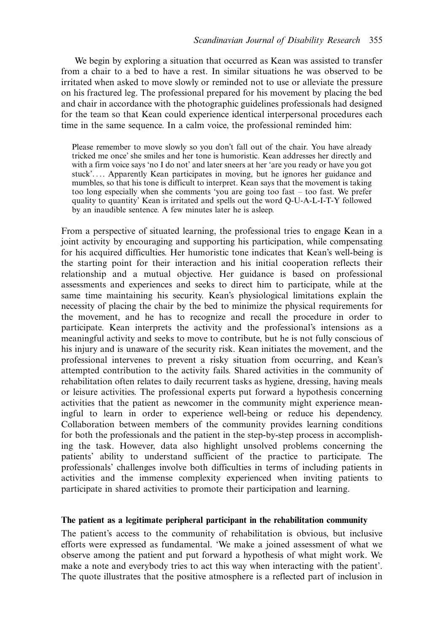We begin by exploring a situation that occurred as Kean was assisted to transfer from a chair to a bed to have a rest. In similar situations he was observed to be irritated when asked to move slowly or reminded not to use or alleviate the pressure on his fractured leg. The professional prepared for his movement by placing the bed and chair in accordance with the photographic guidelines professionals had designed for the team so that Kean could experience identical interpersonal procedures each time in the same sequence. In a calm voice, the professional reminded him:

Please remember to move slowly so you don't fall out of the chair. You have already tricked me once' she smiles and her tone is humoristic. Kean addresses her directly and with a firm voice says 'no I do not' and later sneers at her 'are you ready or have you got stuck'.... Apparently Kean participates in moving, but he ignores her guidance and mumbles, so that his tone is difficult to interpret. Kean says that the movement is taking too long especially when she comments 'you are going too fast - too fast. We prefer quality to quantity' Kean is irritated and spells out the word Q-U-A-L-I-T-Y followed by an inaudible sentence. A few minutes later he is asleep.

From a perspective of situated learning, the professional tries to engage Kean in a joint activity by encouraging and supporting his participation, while compensating for his acquired difficulties. Her humoristic tone indicates that Kean's well-being is the starting point for their interaction and his initial cooperation reflects their relationship and a mutual objective. Her guidance is based on professional assessments and experiences and seeks to direct him to participate, while at the same time maintaining his security. Kean's physiological limitations explain the necessity of placing the chair by the bed to minimize the physical requirements for the movement, and he has to recognize and recall the procedure in order to participate. Kean interprets the activity and the professional's intensions as a meaningful activity and seeks to move to contribute, but he is not fully conscious of his injury and is unaware of the security risk. Kean initiates the movement, and the professional intervenes to prevent a risky situation from occurring, and Kean's attempted contribution to the activity fails. Shared activities in the community of rehabilitation often relates to daily recurrent tasks as hygiene, dressing, having meals or leisure activities. The professional experts put forward a hypothesis concerning activities that the patient as newcomer in the community might experience meaningful to learn in order to experience well-being or reduce his dependency. Collaboration between members of the community provides learning conditions for both the professionals and the patient in the step-by-step process in accomplishing the task. However, data also highlight unsolved problems concerning the patients' ability to understand sufficient of the practice to participate. The professionals' challenges involve both difficulties in terms of including patients in activities and the immense complexity experienced when inviting patients to participate in shared activities to promote their participation and learning.

#### The patient as a legitimate peripheral participant in the rehabilitation community

The patient's access to the community of rehabilitation is obvious, but inclusive efforts were expressed as fundamental. 'We make a joined assessment of what we observe among the patient and put forward a hypothesis of what might work. We make a note and everybody tries to act this way when interacting with the patient'. The quote illustrates that the positive atmosphere is a reflected part of inclusion in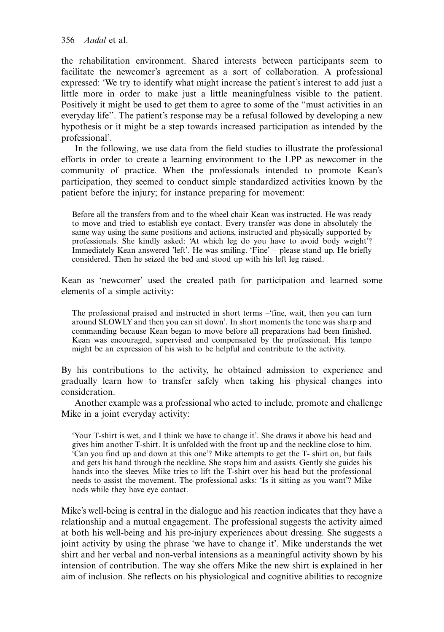the rehabilitation environment. Shared interests between participants seem to facilitate the newcomer's agreement as a sort of collaboration. A professional expressed: 'We try to identify what might increase the patient's interest to add just a little more in order to make just a little meaningfulness visible to the patient. Positively it might be used to get them to agree to some of the ''must activities in an everyday life''. The patient's response may be a refusal followed by developing a new hypothesis or it might be a step towards increased participation as intended by the professional'.

In the following, we use data from the field studies to illustrate the professional efforts in order to create a learning environment to the LPP as newcomer in the community of practice. When the professionals intended to promote Kean's participation, they seemed to conduct simple standardized activities known by the patient before the injury; for instance preparing for movement:

Before all the transfers from and to the wheel chair Kean was instructed. He was ready to move and tried to establish eye contact. Every transfer was done in absolutely the same way using the same positions and actions, instructed and physically supported by professionals. She kindly asked: 'At which leg do you have to avoid body weight'? Immediately Kean answered 'left'. He was smiling. 'Fine' – please stand up. He briefly considered. Then he seized the bed and stood up with his left leg raised.

Kean as 'newcomer' used the created path for participation and learned some elements of a simple activity:

The professional praised and instructed in short terms -'fine, wait, then you can turn around SLOWLY and then you can sit down'. In short moments the tone was sharp and commanding because Kean began to move before all preparations had been finished. Kean was encouraged, supervised and compensated by the professional. His tempo might be an expression of his wish to be helpful and contribute to the activity.

By his contributions to the activity, he obtained admission to experience and gradually learn how to transfer safely when taking his physical changes into consideration.

Another example was a professional who acted to include, promote and challenge Mike in a joint everyday activity:

'Your T-shirt is wet, and I think we have to change it'. She draws it above his head and gives him another T-shirt. It is unfolded with the front up and the neckline close to him. 'Can you find up and down at this one'? Mike attempts to get the T- shirt on, but fails and gets his hand through the neckline. She stops him and assists. Gently she guides his hands into the sleeves. Mike tries to lift the T-shirt over his head but the professional needs to assist the movement. The professional asks: 'Is it sitting as you want'? Mike nods while they have eye contact.

Mike's well-being is central in the dialogue and his reaction indicates that they have a relationship and a mutual engagement. The professional suggests the activity aimed at both his well-being and his pre-injury experiences about dressing. She suggests a joint activity by using the phrase 'we have to change it'. Mike understands the wet shirt and her verbal and non-verbal intensions as a meaningful activity shown by his intension of contribution. The way she offers Mike the new shirt is explained in her aim of inclusion. She reflects on his physiological and cognitive abilities to recognize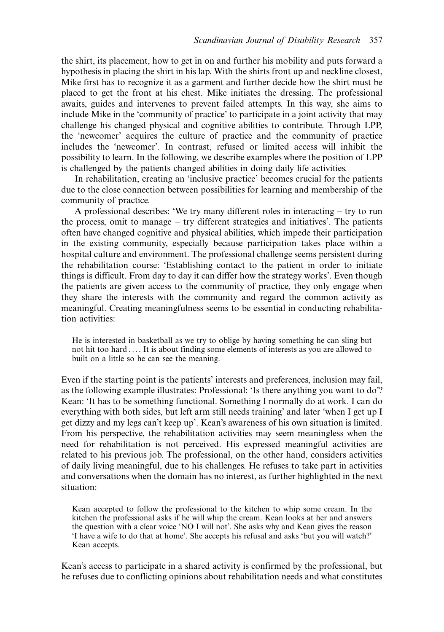the shirt, its placement, how to get in on and further his mobility and puts forward a hypothesis in placing the shirt in his lap. With the shirts front up and neckline closest, Mike first has to recognize it as a garment and further decide how the shirt must be placed to get the front at his chest. Mike initiates the dressing. The professional awaits, guides and intervenes to prevent failed attempts. In this way, she aims to include Mike in the 'community of practice' to participate in a joint activity that may challenge his changed physical and cognitive abilities to contribute. Through LPP, the 'newcomer' acquires the culture of practice and the community of practice includes the 'newcomer'. In contrast, refused or limited access will inhibit the possibility to learn. In the following, we describe examples where the position of LPP is challenged by the patients changed abilities in doing daily life activities.

In rehabilitation, creating an 'inclusive practice' becomes crucial for the patients due to the close connection between possibilities for learning and membership of the community of practice.

A professional describes: 'We try many different roles in interacting – try to run the process, omit to manage - try different strategies and initiatives'. The patients often have changed cognitive and physical abilities, which impede their participation in the existing community, especially because participation takes place within a hospital culture and environment. The professional challenge seems persistent during the rehabilitation course: 'Establishing contact to the patient in order to initiate things is difficult. From day to day it can differ how the strategy works'. Even though the patients are given access to the community of practice, they only engage when they share the interests with the community and regard the common activity as meaningful. Creating meaningfulness seems to be essential in conducting rehabilitation activities:

He is interested in basketball as we try to oblige by having something he can sling but not hit too hard .... It is about finding some elements of interests as you are allowed to built on a little so he can see the meaning.

Even if the starting point is the patients' interests and preferences, inclusion may fail, as the following example illustrates: Professional: 'Is there anything you want to do'? Kean: 'It has to be something functional. Something I normally do at work. I can do everything with both sides, but left arm still needs training' and later 'when I get up I get dizzy and my legs can't keep up'. Kean's awareness of his own situation is limited. From his perspective, the rehabilitation activities may seem meaningless when the need for rehabilitation is not perceived. His expressed meaningful activities are related to his previous job. The professional, on the other hand, considers activities of daily living meaningful, due to his challenges. He refuses to take part in activities and conversations when the domain has no interest, as further highlighted in the next situation:

Kean accepted to follow the professional to the kitchen to whip some cream. In the kitchen the professional asks if he will whip the cream. Kean looks at her and answers the question with a clear voice 'NO I will not'. She asks why and Kean gives the reason 'I have a wife to do that at home'. She accepts his refusal and asks 'but you will watch?' Kean accepts.

Kean's access to participate in a shared activity is confirmed by the professional, but he refuses due to conflicting opinions about rehabilitation needs and what constitutes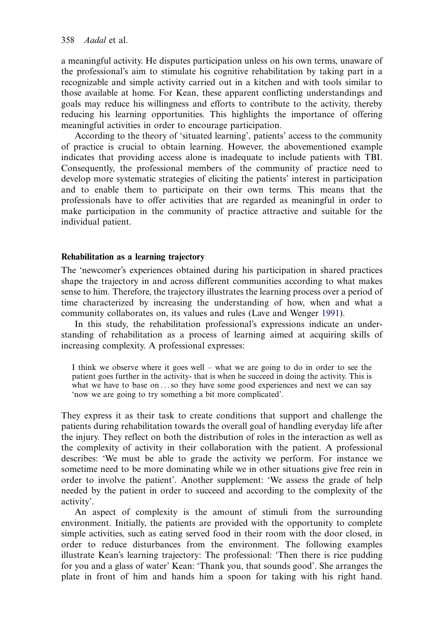a meaningful activity. He disputes participation unless on his own terms, unaware of the professional's aim to stimulate his cognitive rehabilitation by taking part in a recognizable and simple activity carried out in a kitchen and with tools similar to those available at home. For Kean, these apparent conflicting understandings and goals may reduce his willingness and efforts to contribute to the activity, thereby reducing his learning opportunities. This highlights the importance of offering meaningful activities in order to encourage participation.

According to the theory of 'situated learning', patients' access to the community of practice is crucial to obtain learning. However, the abovementioned example indicates that providing access alone is inadequate to include patients with TBI. Consequently, the professional members of the community of practice need to develop more systematic strategies of eliciting the patients' interest in participation and to enable them to participate on their own terms. This means that the professionals have to offer activities that are regarded as meaningful in order to make participation in the community of practice attractive and suitable for the individual patient.

### Rehabilitation as a learning trajectory

The 'newcomer's experiences obtained during his participation in shared practices shape the trajectory in and across different communities according to what makes sense to him. Therefore, the trajectory illustrates the learning process over a period of time characterized by increasing the understanding of how, when and what a community collaborates on, its values and rules (Lave and Wenger [1991\)](#page-14-0).

In this study, the rehabilitation professional's expressions indicate an understanding of rehabilitation as a process of learning aimed at acquiring skills of increasing complexity. A professional expresses:

I think we observe where it goes well – what we are going to do in order to see the patient goes further in the activity- that is when he succeed in doing the activity. This is what we have to base on ...so they have some good experiences and next we can say 'now we are going to try something a bit more complicated'.

They express it as their task to create conditions that support and challenge the patients during rehabilitation towards the overall goal of handling everyday life after the injury. They reflect on both the distribution of roles in the interaction as well as the complexity of activity in their collaboration with the patient. A professional describes: 'We must be able to grade the activity we perform. For instance we sometime need to be more dominating while we in other situations give free rein in order to involve the patient'. Another supplement: 'We assess the grade of help needed by the patient in order to succeed and according to the complexity of the activity'.

An aspect of complexity is the amount of stimuli from the surrounding environment. Initially, the patients are provided with the opportunity to complete simple activities, such as eating served food in their room with the door closed, in order to reduce disturbances from the environment. The following examples illustrate Kean's learning trajectory: The professional: 'Then there is rice pudding for you and a glass of water' Kean: 'Thank you, that sounds good'. She arranges the plate in front of him and hands him a spoon for taking with his right hand.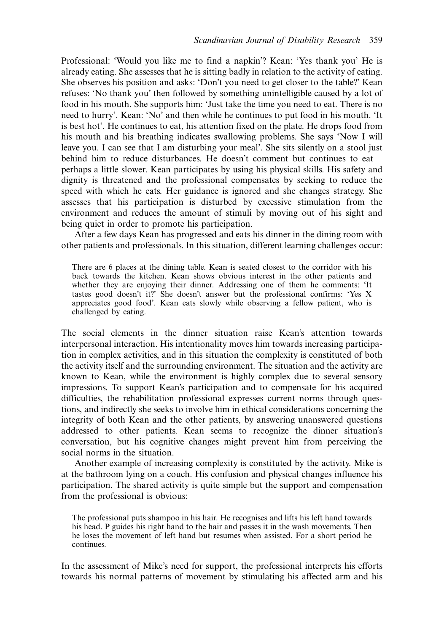Professional: 'Would you like me to find a napkin'? Kean: 'Yes thank you' He is already eating. She assesses that he is sitting badly in relation to the activity of eating. She observes his position and asks: 'Don't you need to get closer to the table?' Kean refuses: 'No thank you' then followed by something unintelligible caused by a lot of food in his mouth. She supports him: 'Just take the time you need to eat. There is no need to hurry'. Kean: 'No' and then while he continues to put food in his mouth. 'It is best hot'. He continues to eat, his attention fixed on the plate. He drops food from his mouth and his breathing indicates swallowing problems. She says 'Now I will leave you. I can see that I am disturbing your meal'. She sits silently on a stool just behind him to reduce disturbances. He doesn't comment but continues to eat perhaps a little slower. Kean participates by using his physical skills. His safety and dignity is threatened and the professional compensates by seeking to reduce the speed with which he eats. Her guidance is ignored and she changes strategy. She assesses that his participation is disturbed by excessive stimulation from the environment and reduces the amount of stimuli by moving out of his sight and being quiet in order to promote his participation.

After a few days Kean has progressed and eats his dinner in the dining room with other patients and professionals. In this situation, different learning challenges occur:

There are 6 places at the dining table. Kean is seated closest to the corridor with his back towards the kitchen. Kean shows obvious interest in the other patients and whether they are enjoying their dinner. Addressing one of them he comments: 'It tastes good doesn't it?' She doesn't answer but the professional confirms: 'Yes X appreciates good food'. Kean eats slowly while observing a fellow patient, who is challenged by eating.

The social elements in the dinner situation raise Kean's attention towards interpersonal interaction. His intentionality moves him towards increasing participation in complex activities, and in this situation the complexity is constituted of both the activity itself and the surrounding environment. The situation and the activity are known to Kean, while the environment is highly complex due to several sensory impressions. To support Kean's participation and to compensate for his acquired difficulties, the rehabilitation professional expresses current norms through questions, and indirectly she seeks to involve him in ethical considerations concerning the integrity of both Kean and the other patients, by answering unanswered questions addressed to other patients. Kean seems to recognize the dinner situation's conversation, but his cognitive changes might prevent him from perceiving the social norms in the situation.

Another example of increasing complexity is constituted by the activity. Mike is at the bathroom lying on a couch. His confusion and physical changes influence his participation. The shared activity is quite simple but the support and compensation from the professional is obvious:

The professional puts shampoo in his hair. He recognises and lifts his left hand towards his head. P guides his right hand to the hair and passes it in the wash movements. Then he loses the movement of left hand but resumes when assisted. For a short period he continues.

In the assessment of Mike's need for support, the professional interprets his efforts towards his normal patterns of movement by stimulating his affected arm and his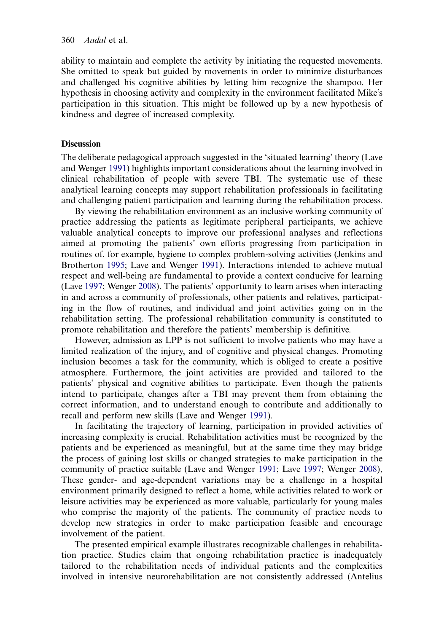ability to maintain and complete the activity by initiating the requested movements. She omitted to speak but guided by movements in order to minimize disturbances and challenged his cognitive abilities by letting him recognize the shampoo. Her hypothesis in choosing activity and complexity in the environment facilitated Mike's participation in this situation. This might be followed up by a new hypothesis of kindness and degree of increased complexity.

#### **Discussion**

The deliberate pedagogical approach suggested in the 'situated learning' theory (Lave and Wenger [1991\)](#page-14-0) highlights important considerations about the learning involved in clinical rehabilitation of people with severe TBI. The systematic use of these analytical learning concepts may support rehabilitation professionals in facilitating and challenging patient participation and learning during the rehabilitation process.

By viewing the rehabilitation environment as an inclusive working community of practice addressing the patients as legitimate peripheral participants, we achieve valuable analytical concepts to improve our professional analyses and reflections aimed at promoting the patients' own efforts progressing from participation in routines of, for example, hygiene to complex problem-solving activities (Jenkins and Brotherton [1995;](#page-14-0) Lave and Wenger [1991\)](#page-14-0). Interactions intended to achieve mutual respect and well-being are fundamental to provide a context conducive for learning (Lave [1997;](#page-14-0) Wenger [2008\)](#page-15-0). The patients' opportunity to learn arises when interacting in and across a community of professionals, other patients and relatives, participating in the flow of routines, and individual and joint activities going on in the rehabilitation setting. The professional rehabilitation community is constituted to promote rehabilitation and therefore the patients' membership is definitive.

However, admission as LPP is not sufficient to involve patients who may have a limited realization of the injury, and of cognitive and physical changes. Promoting inclusion becomes a task for the community, which is obliged to create a positive atmosphere. Furthermore, the joint activities are provided and tailored to the patients' physical and cognitive abilities to participate. Even though the patients intend to participate, changes after a TBI may prevent them from obtaining the correct information, and to understand enough to contribute and additionally to recall and perform new skills (Lave and Wenger [1991](#page-14-0)).

In facilitating the trajectory of learning, participation in provided activities of increasing complexity is crucial. Rehabilitation activities must be recognized by the patients and be experienced as meaningful, but at the same time they may bridge the process of gaining lost skills or changed strategies to make participation in the community of practice suitable (Lave and Wenger [1991](#page-14-0); Lave [1997](#page-14-0); Wenger [2008](#page-15-0)), These gender- and age-dependent variations may be a challenge in a hospital environment primarily designed to reflect a home, while activities related to work or leisure activities may be experienced as more valuable, particularly for young males who comprise the majority of the patients. The community of practice needs to develop new strategies in order to make participation feasible and encourage involvement of the patient.

The presented empirical example illustrates recognizable challenges in rehabilitation practice. Studies claim that ongoing rehabilitation practice is inadequately tailored to the rehabilitation needs of individual patients and the complexities involved in intensive neurorehabilitation are not consistently addressed (Antelius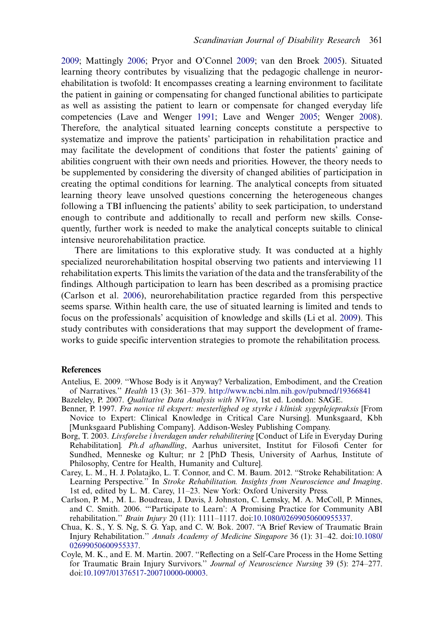<span id="page-13-0"></span>2009; Mattingly [2006](#page-14-0); Pryor and O'Connel [2009;](#page-15-0) van den Broek [2005\)](#page-15-0). Situated learning theory contributes by visualizing that the pedagogic challenge in neurorehabilitation is twofold: It encompasses creating a learning environment to facilitate the patient in gaining or compensating for changed functional abilities to participate as well as assisting the patient to learn or compensate for changed everyday life competencies (Lave and Wenger [1991;](#page-14-0) Lave and Wenger [2005;](#page-14-0) Wenger [2008](#page-15-0)). Therefore, the analytical situated learning concepts constitute a perspective to systematize and improve the patients' participation in rehabilitation practice and may facilitate the development of conditions that foster the patients' gaining of abilities congruent with their own needs and priorities. However, the theory needs to be supplemented by considering the diversity of changed abilities of participation in creating the optimal conditions for learning. The analytical concepts from situated learning theory leave unsolved questions concerning the heterogeneous changes following a TBI influencing the patients' ability to seek participation, to understand enough to contribute and additionally to recall and perform new skills. Consequently, further work is needed to make the analytical concepts suitable to clinical intensive neurorehabilitation practice.

There are limitations to this explorative study. It was conducted at a highly specialized neurorehabilitation hospital observing two patients and interviewing 11 rehabilitation experts. This limits the variation of the data and the transferability of the findings. Although participation to learn has been described as a promising practice (Carlson et al. 2006), neurorehabilitation practice regarded from this perspective seems sparse. Within health care, the use of situated learning is limited and tends to focus on the professionals' acquisition of knowledge and skills (Li et al. [2009](#page-14-0)). This study contributes with considerations that may support the development of frameworks to guide specific intervention strategies to promote the rehabilitation process.

#### References

- Antelius, E. 2009. ''Whose Body is it Anyway? Verbalization, Embodiment, and the Creation of Narratives." *Health* 13 (3): 361–379. <http://www.ncbi.nlm.nih.gov/pubmed/19366841>
- Bazeleley, P. 2007. *Qualitative Data Analysis with NVivo*, 1st ed. London: SAGE.
- Benner, P. 1997. Fra novice til ekspert: mesterlighed og styrke i klinisk sygeplejepraksis [From Novice to Expert: Clinical Knowledge in Critical Care Nursing]. Munksgaard, Kbh [Munksgaard Publishing Company]. Addison-Wesley Publishing Company.
- Borg, T. 2003. Livsførelse i hverdagen under rehabilitering [Conduct of Life in Everyday During Rehabilitation]. Ph.d afhandling, Aarhus universitet, Institut for Filosofi Center for Sundhed, Menneske og Kultur; nr 2 [PhD Thesis, University of Aarhus, Institute of Philosophy, Centre for Health, Humanity and Culture].
- Carey, L. M., H. J. Polatajko, L. T. Connor, and C. M. Baum. 2012. ''Stroke Rehabilitation: A Learning Perspective." In Stroke Rehabilitation. Insights from Neuroscience and Imaging. 1st ed, edited by L. M. Carey, 11-23. New York: Oxford University Press.
- Carlson, P. M., M. L. Boudreau, J. Davis, J. Johnston, C. Lemsky, M. A. McColl, P. Minnes, and C. Smith. 2006. '''Participate to Learn': A Promising Practice for Community ABI rehabilitation." *Brain Injury* 20 (11): 1111-1117. doi[:10.1080/02699050600955337.](http://dx.doi.org/10.1080/02699050600955337)
- Chua, K. S., Y. S. Ng, S. G. Yap, and C. W. Bok. 2007. ''A Brief Review of Traumatic Brain Injury Rehabilitation." Annals Academy of Medicine Singapore 36 (1): 31–42. doi[:10.1080/](http://dx.doi.org/10.1080/02699050600955337) [02699050600955337.](http://dx.doi.org/10.1080/02699050600955337)
- Coyle, M. K., and E. M. Martin. 2007. ''Reflecting on a Self-Care Process in the Home Setting for Traumatic Brain Injury Survivors." Journal of Neuroscience Nursing 39 (5): 274-277. doi[:10.1097/01376517-200710000-00003.](http://dx.doi.org/10.1097/01376517-200710000-00003)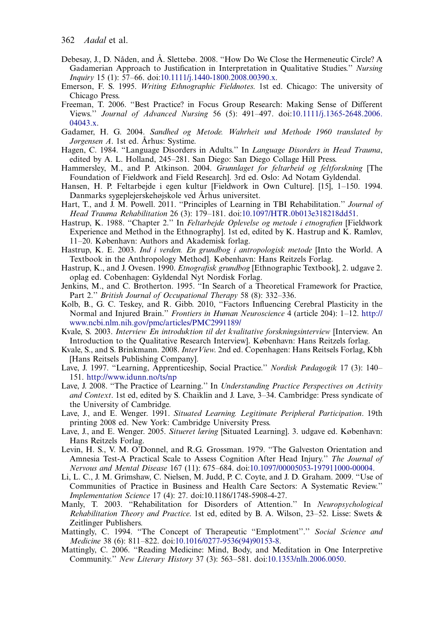- <span id="page-14-0"></span>Debesay, J., D. Nåden, and Å. Slettebø. 2008. "How Do We Close the Hermeneutic Circle? A Gadamerian Approach to Justification in Interpretation in Qualitative Studies.'' Nursing Inquiry 15 (1): 57-66. doi[:10.1111/j.1440-1800.2008.00390.x](http://dx.doi.org/10.1111/j.1440-1800.2008.00390.x).
- Emerson, F. S. 1995. Writing Ethnographic Fieldnotes. 1st ed. Chicago: The university of Chicago Press.
- Freeman, T. 2006. ''Best Practice? in Focus Group Research: Making Sense of Different Views.'' Journal of Advanced Nursing 56 (5): 491-497. doi:[10.1111/j.1365-2648.2006.](http://dx.doi.org/10.1111/j.1365-2648.2006.04043.x) [04043.x](http://dx.doi.org/10.1111/j.1365-2648.2006.04043.x).
- Gadamer, H. G. 2004. Sandhed og Metode. Wahrheit und Methode 1960 translated by Jørgensen A. 1st ed. Århus: Systime.
- Hagen, C. 1984. ''Language Disorders in Adults.'' In Language Disorders in Head Trauma, edited by A. L. Holland, 245-281. San Diego: San Diego Collage Hill Press.
- Hammersley, M., and P. Atkinson. 2004. Grunnlaget for feltarbeid og feltforskning [The Foundation of Fieldwork and Field Research]. 3rd ed. Oslo: Ad Notam Gyldendal.
- Hansen, H. P. Feltarbejde i egen kultur [Fieldwork in Own Culture]. [15], 1-150. 1994. Danmarks sygeplejerskehøjskole ved Århus universitet.
- Hart, T., and J. M. Powell. 2011. "Principles of Learning in TBI Rehabilitation." Journal of Head Trauma Rehabilitation 26 (3): 179-181. doi:[10.1097/HTR.0b013e318218dd51](http://dx.doi.org/10.1097/HTR.0b013e318218dd51).
- Hastrup, K. 1988. "Chapter 2." In Feltarbejde Oplevelse og metode i etnografien [Fieldwork Experience and Method in the Ethnography]. 1st ed, edited by K. Hastrup and K. Ramløv, 11-20. København: Authors and Akademisk forlag.
- Hastrup, K. E. 2003. Ind i verden. En grundbog i antropologisk metode [Into the World. A Textbook in the Anthropology Method]. København: Hans Reitzels Forlag.
- Hastrup, K., and J. Ovesen. 1990. *Etnografisk grundbog* [Ethnographic Textbook], 2. udgave 2. oplag ed. Cobenhagen: Gyldendal Nyt Nordisk Forlag.
- Jenkins, M., and C. Brotherton. 1995. ''In Search of a Theoretical Framework for Practice, Part 2." British Journal of Occupational Therapy 58 (8): 332-336.
- Kolb, B., G. C. Teskey, and R. Gibb. 2010, ''Factors Influencing Cerebral Plasticity in the Normal and Injured Brain." *Frontiers in Human Neuroscience* 4 (article 204): 1-12. [http://](http://www.ncbi.nlm.nih.gov/pmc/articles/PMC2991189/) [www.ncbi.nlm.nih.gov/pmc/articles/PMC2991189/](http://www.ncbi.nlm.nih.gov/pmc/articles/PMC2991189/)
- Kvale, S. 2003. Interview En introduktion til det kvalitative forskningsinterview [Interview. An Introduction to the Qualitative Research Interview]. København: Hans Reitzels forlag.
- Kvale, S., and S. Brinkmann. 2008. *InterView*. 2nd ed. Copenhagen: Hans Reitsels Forlag, Kbh [Hans Reitsels Publishing Company].
- Lave, J. 1997. "Learning, Apprenticeship, Social Practice." Nordisk Pædagogik 17 (3): 140– 151. <http://www.idunn.no/ts/np>
- Lave, J. 2008. ''The Practice of Learning.'' In Understanding Practice Perspectives on Activity and Context. 1st ed, edited by S. Chaiklin and J. Lave, 3–34. Cambridge: Press syndicate of the University of Cambridge.
- Lave, J., and E. Wenger. 1991. Situated Learning. Legitimate Peripheral Participation. 19th printing 2008 ed. New York: Cambridge University Press.
- Lave, J., and E. Wenger. 2005. Situeret læring [Situated Learning]. 3. udgave ed. København: Hans Reitzels Forlag.
- Levin, H. S., V. M. O'Donnel, and R.G. Grossman. 1979. ''The Galveston Orientation and Amnesia Test-A Practical Scale to Assess Cognition After Head Injury.'' The Journal of Nervous and Mental Disease 167 (11): 675-684. doi:[10.1097/00005053-197911000-00004](http://dx.doi.org/10.1097/00005053-197911000-00004).
- Li, L. C., J. M. Grimshaw, C. Nielsen, M. Judd, P. C. Coyte, and J. D. Graham. 2009. ''Use of Communities of Practice in Business and Health Care Sectors: A Systematic Review.'' Implementation Science 17 (4): 27. doi:10.1186/1748-5908-4-27.
- Manly, T. 2003. ''Rehabilitation for Disorders of Attention.'' In Neuropsychological Rehabilitation Theory and Practice. 1st ed, edited by B. A. Wilson, 23–52. Lisse: Swets & Zeitlinger Publishers.
- Mattingly, C. 1994. "The Concept of Therapeutic "Emplotment"." Social Science and Medicine 38 (6): 811-822. doi:[10.1016/0277-9536\(94\)90153-8](http://dx.doi.org/10.1016/0277-9536(94)90153-8).
- Mattingly, C. 2006. ''Reading Medicine: Mind, Body, and Meditation in One Interpretive Community.'' New Literary History 37 (3): 563-581. doi[:10.1353/nlh.2006.0050](http://dx.doi.org/10.1353/nlh.2006.0050).